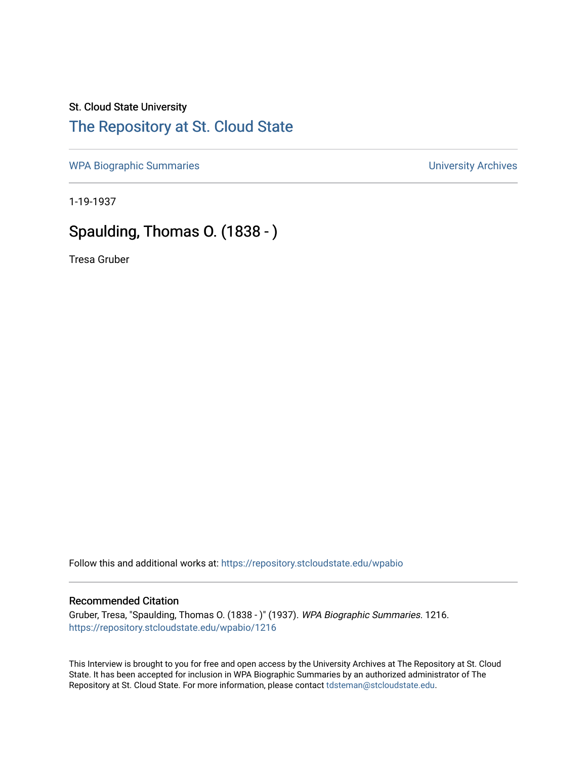## St. Cloud State University

## [The Repository at St. Cloud State](https://repository.stcloudstate.edu/)

[WPA Biographic Summaries](https://repository.stcloudstate.edu/wpabio) **WPA Biographic Summaries University Archives** 

1-19-1937

## Spaulding, Thomas O. (1838 - )

Tresa Gruber

Follow this and additional works at: [https://repository.stcloudstate.edu/wpabio](https://repository.stcloudstate.edu/wpabio?utm_source=repository.stcloudstate.edu%2Fwpabio%2F1216&utm_medium=PDF&utm_campaign=PDFCoverPages) 

## Recommended Citation

Gruber, Tresa, "Spaulding, Thomas O. (1838 - )" (1937). WPA Biographic Summaries. 1216. [https://repository.stcloudstate.edu/wpabio/1216](https://repository.stcloudstate.edu/wpabio/1216?utm_source=repository.stcloudstate.edu%2Fwpabio%2F1216&utm_medium=PDF&utm_campaign=PDFCoverPages) 

This Interview is brought to you for free and open access by the University Archives at The Repository at St. Cloud State. It has been accepted for inclusion in WPA Biographic Summaries by an authorized administrator of The Repository at St. Cloud State. For more information, please contact [tdsteman@stcloudstate.edu.](mailto:tdsteman@stcloudstate.edu)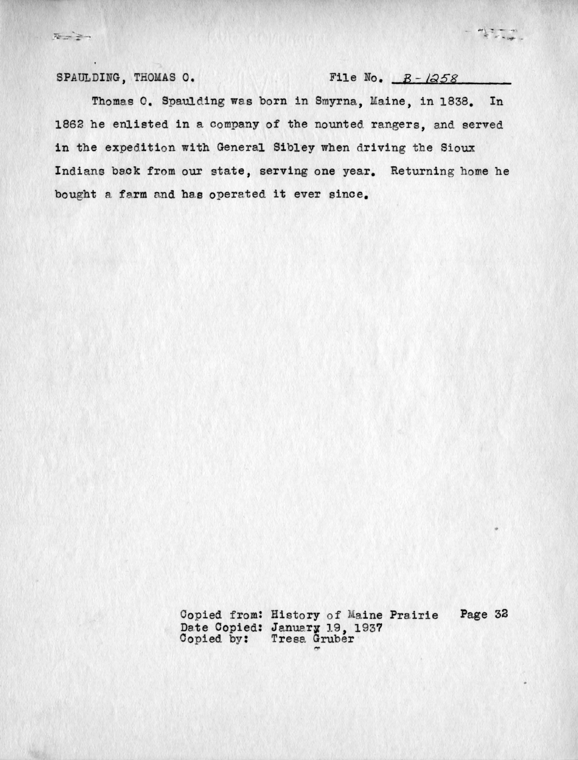$\overline{A} = \overline{A} +$ 

SPAULDING, THOMAS O. File No.  $B - 1958$ 

Thomas O. Spaulding was born in Smyrna, Maine, in 1838. In 1862 he enlisted in a company of the nounted. rangers, and served in the expedition with General Sibley when driving the Sioux Indians back from our state, serving one year. Returning home he bought a farm and has operated it ever since.

> Copied from: History of Maine Prairie Date Copied: January 19, 1937 Copied by: Tresa Gruber Page 32

 $-17 -$